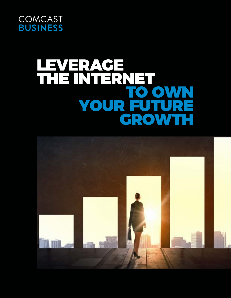

# LEVERAGE THE INTERNET TO OWN YOUR FUTURE GROWTH

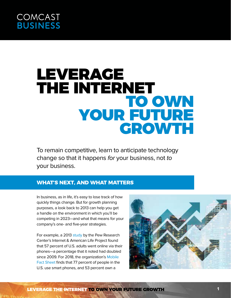# LEVERAGE THE INTERNET TO OWN YOUR FUTURE GROWTH

To remain competitive, learn to anticipate technology change so that it happens for your business, not to your business.

### **WHAT'S NEXT, AND WHAT MATTERS**

In business, as in life, it's easy to lose track of how quickly things change. But for growth planning purposes, a look back to 2013 can help you get a handle on the environment in which you'll be competing in 2023—and what that means for your company's one- and five-year strategies.

For example, a 2013 [study](http://www.pewinternet.org/2013/09/16/cell-internet-use-2013/) by the Pew Research Center's Internet & American Life Project found that 57 percent of U.S. adults went online via their phones—a percentage that it noted had doubled since 2009. For 2018, the organization's [Mobile](http://www.pewinternet.org/fact-sheet/mobile/)  [Fact Sheet](http://www.pewinternet.org/fact-sheet/mobile/) finds that 77 percent of people in the U.S. use smart phones, and 53 percent own a



LEVERAGE THE INTERNET TO OWN YOUR FUTURE GROWTH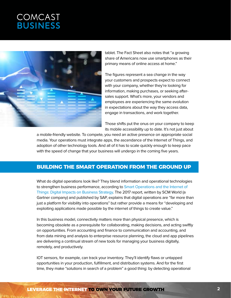

tablet. The Fact Sheet also notes that "a growing share of Americans now use smartphones as their primary means of online access at home."

The figures represent a sea change in the way your customers and prospects expect to connect with your company, whether they're looking for information, making purchases, or seeking aftersales support. What's more, your vendors and employees are experiencing the same evolution in expectations about the way they access data, engage in transactions, and work together.

Those shifts put the onus on your company to keep its mobile accessibility up to date. It's not just about

a mobile-friendly website. To compete, you need an active presence on appropriate social media. Your operations must integrate apps, the ascendance of the Internet of Things, and adoption of other technology tools. And all of it has to scale quickly enough to keep pace with the speed of change that your business will undergo in the coming five years.

### **BUILDING THE SMART OPERATION FROM THE GROUND UP**

What do digital operations look like? They blend information and operational technologies to strengthen business performance, according to [Smart Operations and the Internet of](https://www.sap.com/documents/2017/01/489201a8-a47c-0010-82c7-eda71af511fa.html)  [Things: Digital Impacts on Business Strategy](https://www.sap.com/documents/2017/01/489201a8-a47c-0010-82c7-eda71af511fa.html). The 2017 report, written by SCM World (a Gartner company) and published by SAP, explains that digital operations are "far more than just a platform for visibility into operations" but rather provide a means for "developing and exploiting applications made possible by the internet of things to create value."

In this business model, connectivity matters more than physical presence, which is becoming obsolete as a prerequisite for collaborating, making decisions, and acting swiftly on opportunities. From accounting and finance to communication and accounting, and from data mining and analysis to enterprise resource planning, the cloud and app pipelines are delivering a continual stream of new tools for managing your business digitally, remotely, and productively.

IOT sensors, for example, can track your inventory. They'll identify flaws or untapped opportunities in your production, fulfillment, and distribution systems. And for the first time, they make "solutions in search of a problem" a good thing: by detecting operational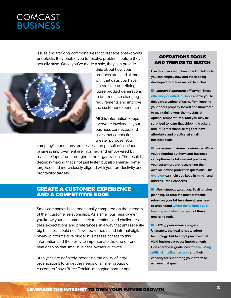issues and tracking commonalities that precede breakdowns or defects, they enable you to resolve problems before they actually arise. Once you've made a sale, they can provide



data about how your products are used. Armed with that data, you have a head start on refining future product generations to better match changing requirements and improve the customer experience.

All this information keeps everyone involved in your business connected and gives that connection greater purpose. Your

company's operations, processes, and pursuit of continuous business improvement are informed and empowered by real-time input from throughout the organization. The result is decision-making that's not just faster, but also smarter, better targeted, and more closely aligned with your productivity and profitability targets.

#### CREATE A CUSTOMER EXPERIENCE AND A COMPETITIVE EDGE

Small companies have traditionally competed on the strength of their customer relationships. As a small business owner, you know your customers, their frustrations and challenges, their expectations and preferences, in a way that until recently big business could not. Now social media and internal digital review platforms give bigger businesses access to this information and the ability to impersonate the one-on-one relationships that small business owners cultivate.

"Analytics are definitely increasing the ability of large organizations to target the needs of smaller groups of customers," says Bruce Temkin, managing partner and

#### OPERATIONS TOOLS AND TRENDS TO WATCH

**Use this checklist to keep track of IoT tools you can employ now and those being developed for future market launches.**

**n** Improved operating efficiency. These **[efficiency-oriented IoT tools](https://www.bbvaopenmind.com/en/8-iot-tools-for-your-small-business/) enable you to delegate a variety of tasks, from keeping your doors properly locked and monitored to maintaining your thermostats at optimal temperatures. And you may be surprised to learn that shipping trackers and RFID merchandise tags are now affordable and practical at small business scale.**

**n** Increased customer confidence. While **you're figuring out how your business can optimize its IoT use and practices, your customers are researching their own IoT device protection questions. This [overview](https://www.networkworld.com/article/3258812/internet-of-things/the-future-of-iot-device-management.html) can help you keep in mind—and address—their concerns.**

**n** Next-stage preparation. Scaling takes **planning. To reap the most profitable return on your IoT investment, you need to understand [where the technology is](https://www.networkworld.com/article/3198657/internet-of-things/the-future-of-iot-where-its-heading-what-to-expect.html)  [heading and what to expect](https://www.networkworld.com/article/3198657/internet-of-things/the-future-of-iot-where-its-heading-what-to-expect.html) of these emerging tools.**

**n** Hitting performance targets. **Ultimately, the goal is not to adopt technology, but to adopt practices that yield business process improvements. Consider these guidelines for [evaluating](http://www.businessadministrationinformation.com/news/can-artificial-intelligence-improve-business-process)  [artificial intelligence tools](http://www.businessadministrationinformation.com/news/can-artificial-intelligence-improve-business-process) and their capacity for supporting your efforts to achieve that goal.**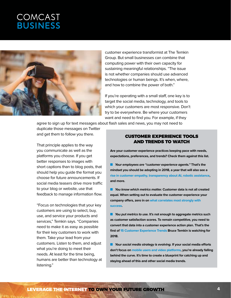

customer experience transformist at [The Temkin](https://temkingroup.com/)  [Group](https://temkingroup.com/). But small businesses can combine that computing power with their own capacity for sustaining meaningful relationships. "The issue is not whether companies should use advanced technologies or human beings. It's when, where, and how to combine the power of both."

If you're operating with a small staff, one key is to target the social media, technology, and tools to which your customers are most responsive. Don't try to be everywhere. Be where your customers want and need to find you. For example, if they

agree to sign up for text messages about flash sales and news, you may not need to

duplicate those messages on Twitter and get them to follow you there.

That principle applies to the way you communicate as well as the platforms you choose. If you get better responses to images with short captions than to blog posts, that should help you guide the format you choose for future announcements. If social media teasers drive more traffic to your blog or website, use that feedback to manage information flow.

"Focus on technologies that your key customers are using to select, buy, use, and service your products and services," Temkin says. "Companies need to make it as easy as possible for their key customers to work with them. Take your lead from your customers. Listen to them, and adjust what you're doing to meet their needs. At least for the time being, humans are better than technology at listening."

#### CUSTOMER EXPERIENCE TOOLS AND TRENDS TO WATCH

**Are your customer experience practices keeping pace with needs, expectations, preferences, and trends? Check them against this list.**

**n** Your employees are "customer experience agents." That's the **mindset you should be adopting in 2018, a year that will also see a [rise in customer empathy, transparency about AI, robotic assistance](https://www.cmswire.com/customer-experience/6-customer-experience-trends-to-watch-in-2018/), and more.**

**n** You know which metrics matter. Customer data is not all created **equal. When setting out to evaluate the customer experience your company offers, zero in on [what correlates most strongly with](https://www.cmo.com.au/article/621122/top-customer-experience-metrics-help-gauge-engagement-success/)  [success.](https://www.cmo.com.au/article/621122/top-customer-experience-metrics-help-gauge-engagement-success/)** 

**n** You put metrics to use. It's not enough to aggregate metrics such **as customer satisfaction scores. To remain competitive, you need to convert that data into a customer experience action plan. That's the first of [15 Customer Experience Trends](https://experiencematters.blog/2017/12/21/14-customer-experience-trends-2018/) Bruce Temkin is watching for 2018.**

**n** Your social media strategy is evolving. If your social media efforts **don't focus on [mobile users and video platforms](https://blog.hubspot.com/marketing/future-of-social-media-trends), you're already falling behind the curve. It's time to create a blueprint for catching up and staying ahead of this and other social media trends.**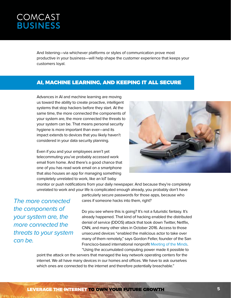And listening—via whichever platforms or styles of communication prove most productive in your business—will help shape the customer experience that keeps your customers loyal.

### AI, MACHINE LEARNING, AND KEEPING IT ALL SECURE

Advances in AI and machine learning are moving us toward the ability to create proactive, intelligent systems that stop hackers before they start. At the same time, the more connected the components of your system are, the more connected the threats to your system can be. That means personal security hygiene is more important than ever—and its impact extends to devices that you likely haven't considered in your data security planning.

Even if you and your employees aren't yet telecommuting you've probably accessed work email from home. And there's a good chance that one of you has read work email on a smartphone that also houses an app for managing something completely unrelated to work, like an IoT baby



monitor or push notifications from your daily newspaper. And because they're completely unrelated to work and your life is complicated enough already, you probably don't have

The more connected the components of your system are, the more connected the threats to your system can be.

particularly secure passwords for those apps, because who cares if someone hacks into them, right?

Do you see where this is going? It's not a futuristic fantasy. It's already happened. That kind of hacking enabled the distributed denial of service (DDOS) attack that took down Twitter, Netflix, CNN, and many other sites in October 2016. Access to those unsecured devices "enabled the malicious actor to take over many of them remotely," says Gordon Feller, founder of the San Francisco-based international nonprofit [Meeting of the Minds.](http://meetingoftheminds.org/)

"Using the accumulated computing power made it possible to point the attack on the servers that managed the key network operating centers for the internet. We all have many devices in our homes and offices. We have to ask ourselves which ones are connected to the internet and therefore potentially breachable."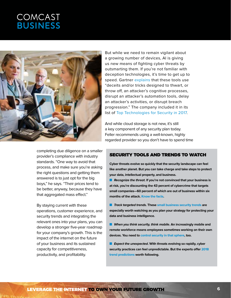

completing due diligence on a smaller provider's compliance with industry standards. "One way to avoid that process, and make sure you're asking the right questions and getting them answered is to just opt for the big boys," he says. "Their prices tend to be better, anyway, because they have that aggregated mass effect."

By staying current with these operations, customer experience, and security trends and integrating the relevant ones into your plans, you can develop a stronger five-year roadmap for your company's growth. This is the impact of the internet on the future of your business and its sustained capacity for competitiveness, productivity, and profitability.

But while we need to remain vigilant about a growing number of devices, AI is giving us new means of fighting cyber threats by outsmarting them. If you're not familiar with deception technologies, it's time to get up to speed. Gartner [explains](https://www.gartner.com/smarterwithgartner/deception-wave/) that these tools use "deceits and/or tricks designed to thwart, or throw off, an attacker's cognitive processes, disrupt an attacker's automation tools, delay an attacker's activities, or disrupt breach progression." The company included it in its list of [Top Technologies for Security in 2017](https://www.gartner.com/newsroom/id/3744917).

And while cloud storage is not new, it's still a key component of any security plan today. Feller recommends using a well-known, highly regarded provider so you don't have to spend time

#### SECURITY TOOLS AND TRENDS TO WATCH

**Cyber threats evolve so quickly that the security landscape can feel like another planet. But you can take charge and take steps to protect your data, intellectual property, and business.**

**n** Recognize the threat. If you're not convinced that your business is **at risk, you're discounting the 43 percent of cybercrime that targets small companies—60 percent of which are out of business within six months of the attack. [Know the facts](https://smallbiztrends.com/2017/01/cyber-security-statistics-small-business.html).**

**n Track targeted trends. These [small business security trends](https://www.ibm.com/developerworks/community/blogs/38043a28-d644-4cb0-a997-ba030a88e3d6/entry/Small_Business_Cybersecurity_Trends_For_2018?lang=en) are especially worth watching as you plan your strategy for protecting your data and business intelligence.**

**N** When you think security, think mobile. An increasingly mobile and **remote workforce means employees sometimes working on their own devices. You need to [control security in that sphere,](https://articles.bplans.com/the-future-of-mobile-security-for-small-business/) too.** 

**EXPECT THE UNEXPECTED**. With threats evolving so rapidly, cyber **security practices can feel unpredictable. But the experts offer [2018](https://www.businessnewsdaily.com/7605-business-trend-predictions.html)  [trend predictions](https://www.businessnewsdaily.com/7605-business-trend-predictions.html) worth following.**